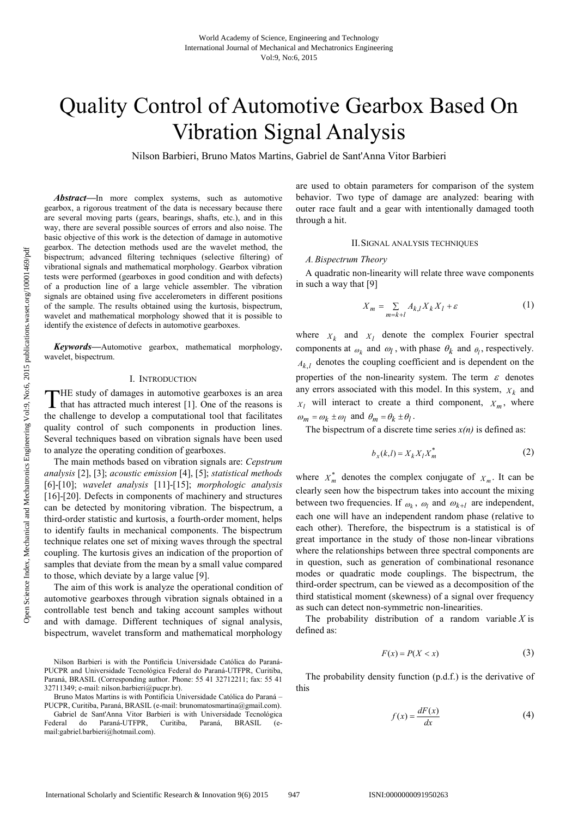# Quality Control of Automotive Gearbox Based On Vibration Signal Analysis

Nilson Barbieri, Bruno Matos Martins, Gabriel de Sant'Anna Vitor Barbieri

*Abstract***—**In more complex systems, such as automotive gearbox, a rigorous treatment of the data is necessary because there are several moving parts (gears, bearings, shafts, etc.), and in this way, there are several possible sources of errors and also noise. The basic objective of this work is the detection of damage in automotive gearbox. The detection methods used are the wavelet method, the bispectrum; advanced filtering techniques (selective filtering) of vibrational signals and mathematical morphology. Gearbox vibration tests were performed (gearboxes in good condition and with defects) of a production line of a large vehicle assembler. The vibration signals are obtained using five accelerometers in different positions of the sample. The results obtained using the kurtosis, bispectrum, wavelet and mathematical morphology showed that it is possible to identify the existence of defects in automotive gearboxes.

*Keywords***—**Automotive gearbox, mathematical morphology, wavelet, bispectrum.

# I. INTRODUCTION

HE study of damages in automotive gearboxes is an area THE study of damages in automotive gearboxes is an area<br>that has attracted much interest [1]. One of the reasons is the challenge to develop a computational tool that facilitates quality control of such components in production lines. Several techniques based on vibration signals have been used to analyze the operating condition of gearboxes.

The main methods based on vibration signals are: *Cepstrum analysis* [2], [3]; *acoustic emission* [4], [5]; *statistical methods*  [6]-[10]; *wavelet analysis* [11]-[15]; *morphologic analysis*  [16]-[20]. Defects in components of machinery and structures can be detected by monitoring vibration. The bispectrum, a third-order statistic and kurtosis, a fourth-order moment, helps to identify faults in mechanical components. The bispectrum technique relates one set of mixing waves through the spectral coupling. The kurtosis gives an indication of the proportion of samples that deviate from the mean by a small value compared to those, which deviate by a large value [9].

The aim of this work is analyze the operational condition of automotive gearboxes through vibration signals obtained in a controllable test bench and taking account samples without and with damage. Different techniques of signal analysis, bispectrum, wavelet transform and mathematical morphology

Nilson Barbieri is with the Pontifícia Universidade Católica do Paraná-PUCPR and Universidade Tecnológica Federal do Paraná-UTFPR, Curitiba, Paraná, BRASIL (Corresponding author. Phone: 55 41 32712211; fax: 55 41 32711349; e-mail: nilson.barbieri@pucpr.br).

Bruno Matos Martins is with Pontifícia Universidade Católica do Paraná – PUCPR, Curitiba, Paraná, BRASIL (e-mail: brunomatosmartina@gmail.com). are used to obtain parameters for comparison of the system behavior. Two type of damage are analyzed: bearing with outer race fault and a gear with intentionally damaged tooth through a hit.

# II.SIGNAL ANALYSIS TECHNIQUES

### *A.Bispectrum Theory*

 A quadratic non-linearity will relate three wave components in such a way that [9]

$$
X_m = \sum_{m=k+l} A_{k,l} X_k X_l + \varepsilon \tag{1}
$$

where  $X_k$  and  $X_l$  denote the complex Fourier spectral components at  $\omega_k$  and  $\omega_l$ , with phase  $\theta_k$  and  $\theta_l$ , respectively.  $A_{k,l}$  denotes the coupling coefficient and is dependent on the properties of the non-linearity system. The term  $\varepsilon$  denotes any errors associated with this model. In this system,  $X_k$  and  $X_l$  will interact to create a third component,  $X_m$ , where  $\omega_m = \omega_k \pm \omega_l$  and  $\theta_m = \theta_k \pm \theta_l$ .

The bispectrum of a discrete time series  $x(n)$  is defined as:

$$
b_x(k,l) = X_k X_l X_m^*
$$
 (2)

where  $X_m^*$  denotes the complex conjugate of  $X_m$ . It can be clearly seen how the bispectrum takes into account the mixing between two frequencies. If  $\omega_k$ ,  $\omega_l$  and  $\omega_{k+l}$  are independent, each one will have an independent random phase (relative to each other). Therefore, the bispectrum is a statistical is of great importance in the study of those non-linear vibrations where the relationships between three spectral components are in question, such as generation of combinational resonance modes or quadratic mode couplings. The bispectrum, the third-order spectrum, can be viewed as a decomposition of the third statistical moment (skewness) of a signal over frequency as such can detect non-symmetric non-linearities.

The probability distribution of a random variable  $X$  is defined as:

$$
F(x) = P(X < x) \tag{3}
$$

The probability density function (p.d.f.) is the derivative of this

$$
f(x) = \frac{dF(x)}{dx} \tag{4}
$$

Gabriel de Sant'Anna Vitor Barbieri is with Universidade Tecnológica Federal do Paraná-UTFPR, Curitiba, Paraná, BRASIL (email:gabriel.barbieri@hotmail.com).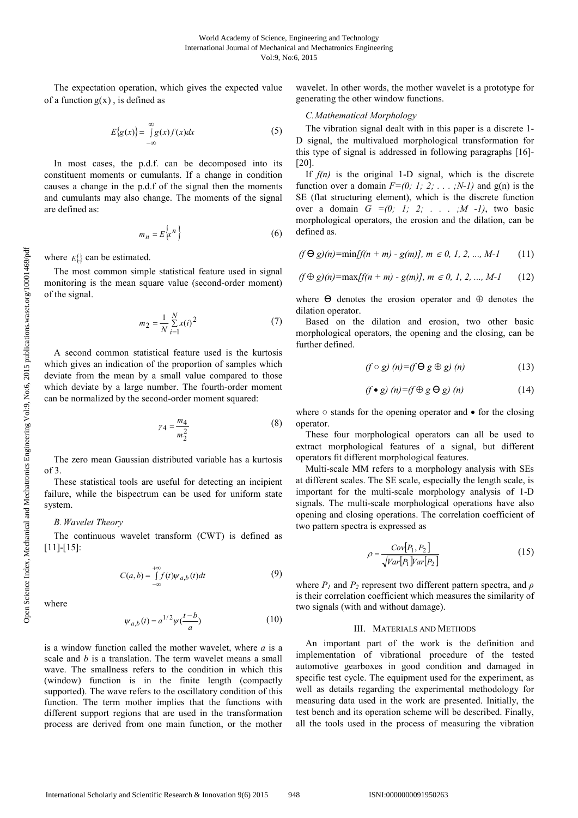The expectation operation, which gives the expected value of a function  $g(x)$ , is defined as

$$
E{g(x)} = \int_{-\infty}^{\infty} g(x) f(x) dx
$$
 (5)

In most cases, the p.d.f. can be decomposed into its constituent moments or cumulants. If a change in condition causes a change in the p.d.f of the signal then the moments and cumulants may also change. The moments of the signal are defined as:

$$
m_n = E\left\{\mathbf{x}^n\right\} \tag{6}
$$

where *E*{.} can be estimated.

The most common simple statistical feature used in signal monitoring is the mean square value (second-order moment) of the signal.

$$
m_2 = \frac{1}{N} \sum_{i=1}^{N} x(i)^2
$$
 (7)

A second common statistical feature used is the kurtosis which gives an indication of the proportion of samples which deviate from the mean by a small value compared to those which deviate by a large number. The fourth-order moment can be normalized by the second-order moment squared:

$$
\gamma_4 = \frac{m_4}{m_2^2} \tag{8}
$$

The zero mean Gaussian distributed variable has a kurtosis of 3.

These statistical tools are useful for detecting an incipient failure, while the bispectrum can be used for uniform state system.

#### *B. Wavelet Theory*

The continuous wavelet transform (CWT) is defined as [11]-[15]:

$$
C(a,b) = \int_{-\infty}^{+\infty} f(t)\psi_{a,b}(t)dt
$$
 (9)

where

$$
\psi_{a,b}(t) = a^{1/2} \psi(\frac{t-b}{a})
$$
\n(10)

is a window function called the mother wavelet, where *a* is a scale and *b* is a translation. The term wavelet means a small wave. The smallness refers to the condition in which this (window) function is in the finite length (compactly supported). The wave refers to the oscillatory condition of this function. The term mother implies that the functions with different support regions that are used in the transformation process are derived from one main function, or the mother

wavelet. In other words, the mother wavelet is a prototype for generating the other window functions.

## *C.Mathematical Morphology*

The vibration signal dealt with in this paper is a discrete 1- D signal, the multivalued morphological transformation for this type of signal is addressed in following paragraphs [16]- [20].

If  $f(n)$  is the original 1-D signal, which is the discrete function over a domain  $F=(0; 1; 2; \ldots; N-1)$  and  $g(n)$  is the SE (flat structuring element), which is the discrete function over a domain  $G = (0; 1; 2; \ldots; M -1)$ , two basic morphological operators, the erosion and the dilation, can be defined as.

$$
(f \Theta g)(n) = \min[f(n + m) - g(m)], \, m \in 0, 1, 2, \dots, M-1 \qquad (11)
$$

$$
(f \oplus g)(n) = \max[f(n + m) - g(m)], \, m \in 0, 1, 2, \dots, M-1 \qquad (12)
$$

where  $\Theta$  denotes the erosion operator and  $\Theta$  denotes the dilation operator.

Based on the dilation and erosion, two other basic morphological operators, the opening and the closing, can be further defined.

$$
(f \circ g) (n) = (f \Theta g \oplus g) (n) \tag{13}
$$

$$
(f \bullet g) (n) = (f \oplus g \Theta g) (n) \tag{14}
$$

where  $\circ$  stands for the opening operator and  $\bullet$  for the closing operator.

These four morphological operators can all be used to extract morphological features of a signal, but different operators fit different morphological features.

Multi-scale MM refers to a morphology analysis with SEs at different scales. The SE scale, especially the length scale, is important for the multi-scale morphology analysis of 1-D signals. The multi-scale morphological operations have also opening and closing operations. The correlation coefficient of two pattern spectra is expressed as

$$
\rho = \frac{Cov[P_1, P_2]}{\sqrt{Var[P_1]Var[P_2]}}
$$
(15)

where  $P_I$  and  $P_2$  represent two different pattern spectra, and  $\rho$ is their correlation coefficient which measures the similarity of two signals (with and without damage).

# III. MATERIALS AND METHODS

An important part of the work is the definition and implementation of vibrational procedure of the tested automotive gearboxes in good condition and damaged in specific test cycle. The equipment used for the experiment, as well as details regarding the experimental methodology for measuring data used in the work are presented. Initially, the test bench and its operation scheme will be described. Finally, all the tools used in the process of measuring the vibration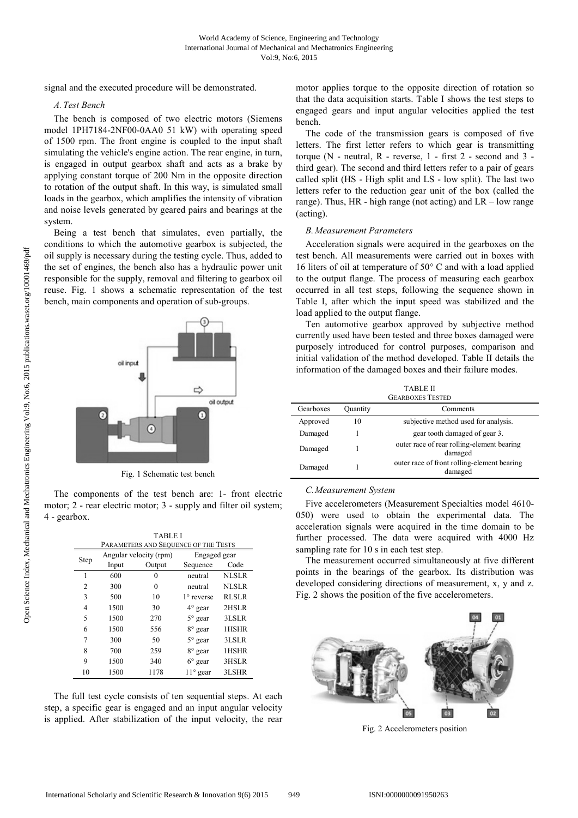signal and the executed procedure will be demonstrated.

# *A. Test Bench*

The bench is composed of two electric motors (Siemens model 1PH7184-2NF00-0AA0 51 kW) with operating speed of 1500 rpm. The front engine is coupled to the input shaft simulating the vehicle's engine action. The rear engine, in turn, is engaged in output gearbox shaft and acts as a brake by applying constant torque of 200 Nm in the opposite direction to rotation of the output shaft. In this way, is simulated small loads in the gearbox, which amplifies the intensity of vibration and noise levels generated by geared pairs and bearings at the system.

Being a test bench that simulates, even partially, the conditions to which the automotive gearbox is subjected, the oil supply is necessary during the testing cycle. Thus, added to the set of engines, the bench also has a hydraulic power unit responsible for the supply, removal and filtering to gearbox oil reuse. Fig. 1 shows a schematic representation of the test bench, main components and operation of sub-groups.



Fig. 1 Schematic test bench

The components of the test bench are: 1- front electric motor; 2 - rear electric motor; 3 - supply and filter oil system; 4 - gearbox.

|                | <b>TABLE I</b>         |                                      |                   |              |
|----------------|------------------------|--------------------------------------|-------------------|--------------|
|                |                        | PARAMETERS AND SEQUENCE OF THE TESTS |                   |              |
| Step           | Angular velocity (rpm) |                                      | Engaged gear      |              |
|                | Input                  | Output                               | Sequence          | Code         |
| 1              | 600                    | 0                                    | neutral           | <b>NLSLR</b> |
| $\overline{c}$ | 300                    | 0                                    | neutral           | <b>NLSLR</b> |
| 3              | 500                    | 10                                   | $1^\circ$ reverse | <b>RLSLR</b> |
| 4              | 1500                   | 30                                   | $4^\circ$ gear    | 2HSLR        |
| 5              | 1500                   | 270                                  | $5^\circ$ gear    | 3LSLR        |
| 6              | 1500                   | 556                                  | 8° gear           | 1HSHR        |
| 7              | 300                    | 50                                   | $5^{\circ}$ gear  | 3LSLR        |
| 8              | 700                    | 259                                  | 8° gear           | 1HSHR        |
| 9              | 1500                   | 340                                  | $6^\circ$ gear    | 3HSLR        |
| 10             | 1500                   | 1178                                 | $11^{\circ}$ gear | 3LSHR        |

The full test cycle consists of ten sequential steps. At each step, a specific gear is engaged and an input angular velocity is applied. After stabilization of the input velocity, the rear motor applies torque to the opposite direction of rotation so that the data acquisition starts. Table I shows the test steps to engaged gears and input angular velocities applied the test bench.

The code of the transmission gears is composed of five letters. The first letter refers to which gear is transmitting torque  $(N -$  neutral,  $R -$  reverse,  $1 -$  first  $2 -$  second and  $3$ third gear). The second and third letters refer to a pair of gears called split (HS - High split and LS - low split). The last two letters refer to the reduction gear unit of the box (called the range). Thus, HR - high range (not acting) and LR – low range (acting).

## *B. Measurement Parameters*

Acceleration signals were acquired in the gearboxes on the test bench. All measurements were carried out in boxes with 16 liters of oil at temperature of 50° C and with a load applied to the output flange. The process of measuring each gearbox occurred in all test steps, following the sequence shown in Table I, after which the input speed was stabilized and the load applied to the output flange.

Ten automotive gearbox approved by subjective method currently used have been tested and three boxes damaged were purposely introduced for control purposes, comparison and initial validation of the method developed. Table II details the information of the damaged boxes and their failure modes.

| TABLE II<br><b>GEARBOXES TESTED</b> |          |                                                        |  |  |
|-------------------------------------|----------|--------------------------------------------------------|--|--|
| Gearboxes                           | Quantity | Comments                                               |  |  |
| Approved                            | 10       | subjective method used for analysis.                   |  |  |
| Damaged                             |          | gear tooth damaged of gear 3.                          |  |  |
| Damaged                             |          | outer race of rear rolling-element bearing<br>damaged  |  |  |
| Damaged                             |          | outer race of front rolling-element bearing<br>damaged |  |  |

## *C.Measurement System*

Five accelerometers (Measurement Specialties model 4610- 050) were used to obtain the experimental data. The acceleration signals were acquired in the time domain to be further processed. The data were acquired with 4000 Hz sampling rate for 10 s in each test step.

The measurement occurred simultaneously at five different points in the bearings of the gearbox. Its distribution was developed considering directions of measurement, x, y and z. Fig. 2 shows the position of the five accelerometers.



Fig. 2 Accelerometers position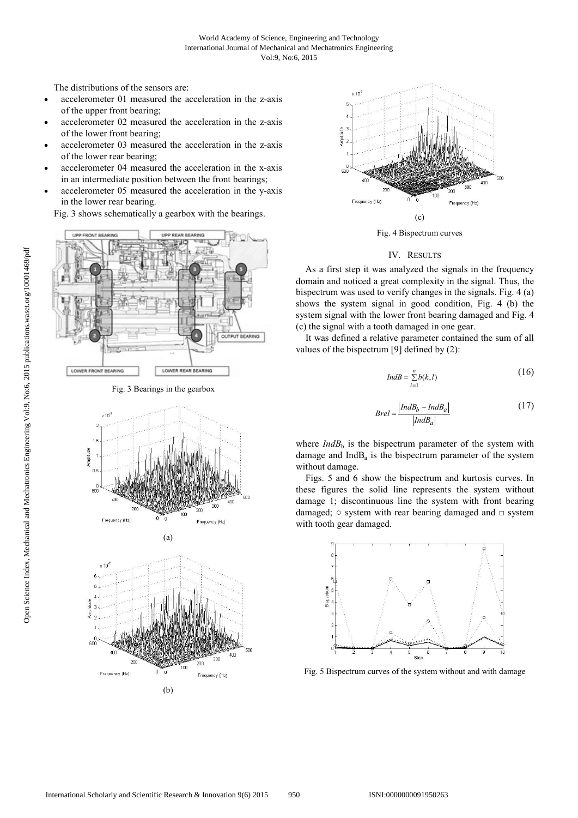The distributions of the sensors are:

- accelerometer 01 measured the acceleration in the z-axis of the upper front bearing;
- accelerometer 02 measured the acceleration in the z-axis of the lower front bearing;
- accelerometer 03 measured the acceleration in the z-axis of the lower rear bearing;
- accelerometer 04 measured the acceleration in the x-axis in an intermediate position between the front bearings;
- accelerometer 05 measured the acceleration in the y-axis in the lower rear bearing.

Fig. 3 shows schematically a gearbox with the bearings.



Fig. 3 Bearings in the gearbox



(a)





Fig. 4 Bispectrum curves

# IV. RESULTS

As a first step it was analyzed the signals in the frequency domain and noticed a great complexity in the signal. Thus, the bispectrum was used to verify changes in the signals. Fig. 4 (a) shows the system signal in good condition, Fig. 4 (b) the system signal with the lower front bearing damaged and Fig. 4 (c) the signal with a tooth damaged in one gear.

It was defined a relative parameter contained the sum of all values of the bispectrum [9] defined by (2):

$$
IndB = \sum_{i=1}^{n} b(k, l)
$$
 (16)

$$
Brel = \frac{|IndB_b - IndB_a|}{|IndB_a|}
$$
(17)

where  $IndB<sub>b</sub>$  is the bispectrum parameter of the system with damage and  $IndB<sub>a</sub>$  is the bispectrum parameter of the system without damage.

Figs. 5 and 6 show the bispectrum and kurtosis curves. In these figures the solid line represents the system without damage 1; discontinuous line the system with front bearing damaged;  $\circ$  system with rear bearing damaged and  $\circ$  system with tooth gear damaged.



Fig. 5 Bispectrum curves of the system without and with damage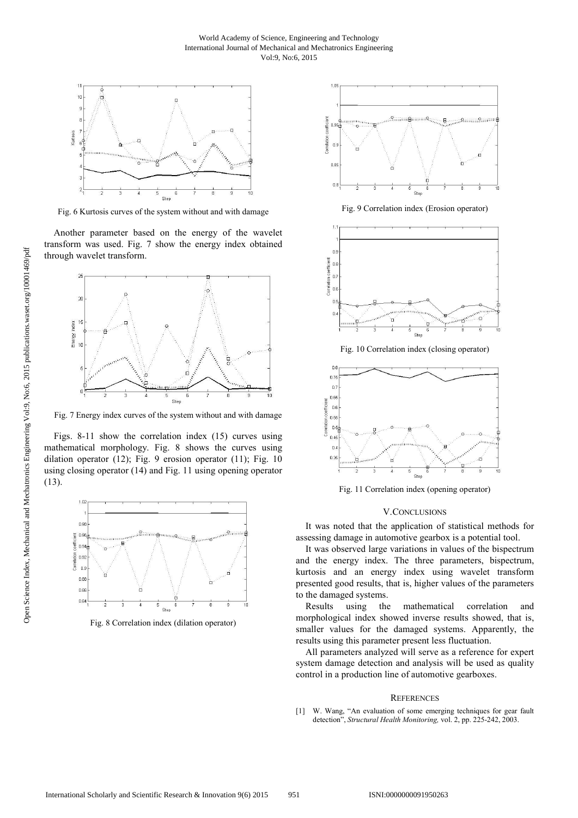## World Academy of Science, Engineering and Technology International Journal of Mechanical and Mechatronics Engineering Vol:9, No:6, 2015



Fig. 6 Kurtosis curves of the system without and with damage

Another parameter based on the energy of the wavelet transform was used. Fig. 7 show the energy index obtained through wavelet transform.



Fig. 7 Energy index curves of the system without and with damage

Figs. 8-11 show the correlation index (15) curves using mathematical morphology. Fig. 8 shows the curves using dilation operator (12); Fig. 9 erosion operator (11); Fig. 10 using closing operator (14) and Fig. 11 using opening operator (13).



Fig. 8 Correlation index (dilation operator)



Fig. 9 Correlation index (Erosion operator)



Fig. 10 Correlation index (closing operator)



Fig. 11 Correlation index (opening operator)

### V.CONCLUSIONS

It was noted that the application of statistical methods for assessing damage in automotive gearbox is a potential tool.

It was observed large variations in values of the bispectrum and the energy index. The three parameters, bispectrum, kurtosis and an energy index using wavelet transform presented good results, that is, higher values of the parameters to the damaged systems.

Results using the mathematical correlation and morphological index showed inverse results showed, that is, smaller values for the damaged systems. Apparently, the results using this parameter present less fluctuation.

All parameters analyzed will serve as a reference for expert system damage detection and analysis will be used as quality control in a production line of automotive gearboxes.

### **REFERENCES**

[1] W. Wang, "An evaluation of some emerging techniques for gear fault detection", *Structural Health Monitoring,* vol. 2, pp. 225-242, 2003.